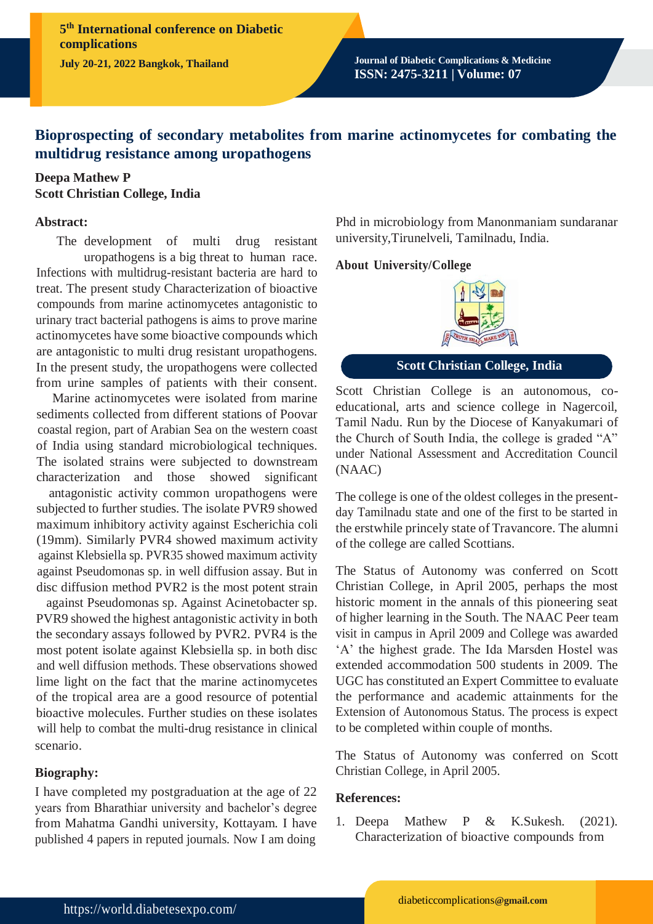**5 th International conference on Diabetic complications**

**July 20-21, 2022 Bangkok, Thailand Journal of Diabetic Complications & Medicine ISSN: 2475-3211 | Volume: 07**

# **Bioprospecting of secondary metabolites from marine actinomycetes for combating the multidrug resistance among uropathogens**

### **Deepa Mathew P Scott Christian College, India**

#### **Abstract:**

The development of multi drug resistant uropathogens is a big threat to human race. Infections with multidrug-resistant bacteria are hard to treat. The present study Characterization of bioactive compounds from marine actinomycetes antagonistic to urinary tract bacterial pathogens is aims to prove marine actinomycetes have some bioactive compounds which are antagonistic to multi drug resistant uropathogens. In the present study, the uropathogens were collected from urine samples of patients with their consent.

Marine actinomycetes were isolated from marine sediments collected from different stations of Poovar coastal region, part of Arabian Sea on the western coast of India using standard microbiological techniques. The isolated strains were subjected to downstream characterization and those showed significant

antagonistic activity common uropathogens were subjected to further studies. The isolate PVR9 showed maximum inhibitory activity against Escherichia coli (19mm). Similarly PVR4 showed maximum activity against Klebsiella sp. PVR35 showed maximum activity against Pseudomonas sp. in well diffusion assay. But in disc diffusion method PVR2 is the most potent strain

against Pseudomonas sp. Against Acinetobacter sp. PVR9 showed the highest antagonistic activity in both the secondary assays followed by PVR2. PVR4 is the most potent isolate against Klebsiella sp. in both disc and well diffusion methods. These observations showed lime light on the fact that the marine actinomycetes of the tropical area are a good resource of potential bioactive molecules. Further studies on these isolates will help to combat the multi-drug resistance in clinical scenario.

### **Biography:**

I have completed my postgraduation at the age of 22 years from Bharathiar university and bachelor's degree from Mahatma Gandhi university, Kottayam. I have published 4 papers in reputed journals. Now I am doing

Phd in microbiology from Manonmaniam sundaranar university,Tirunelveli, Tamilnadu, India.

### **About University/College**



## **Scott Christian College, India**

Scott Christian College is an autonomous, coeducational, arts and science college in Nagercoil, Tamil Nadu. Run by the Diocese of Kanyakumari of the Church of South India, the college is graded "A" under National Assessment and Accreditation Council (NAAC)

The college is one of the oldest colleges in the presentday Tamilnadu state and one of the first to be started in the erstwhile princely state of Travancore. The alumni of the college are called Scottians.

The Status of Autonomy was conferred on Scott Christian College, in April 2005, perhaps the most historic moment in the annals of this pioneering seat of higher learning in the South. The NAAC Peer team visit in campus in April 2009 and College was awarded 'A' the highest grade. The Ida Marsden Hostel was extended accommodation 500 students in 2009. The UGC has constituted an Expert Committee to evaluate the performance and academic attainments for the Extension of Autonomous Status. The process is expect to be completed within couple of months.

The Status of Autonomy was conferred on Scott Christian College, in April 2005.

### **References:**

1. Deepa Mathew P & K.Sukesh. (2021). Characterization of bioactive compounds from